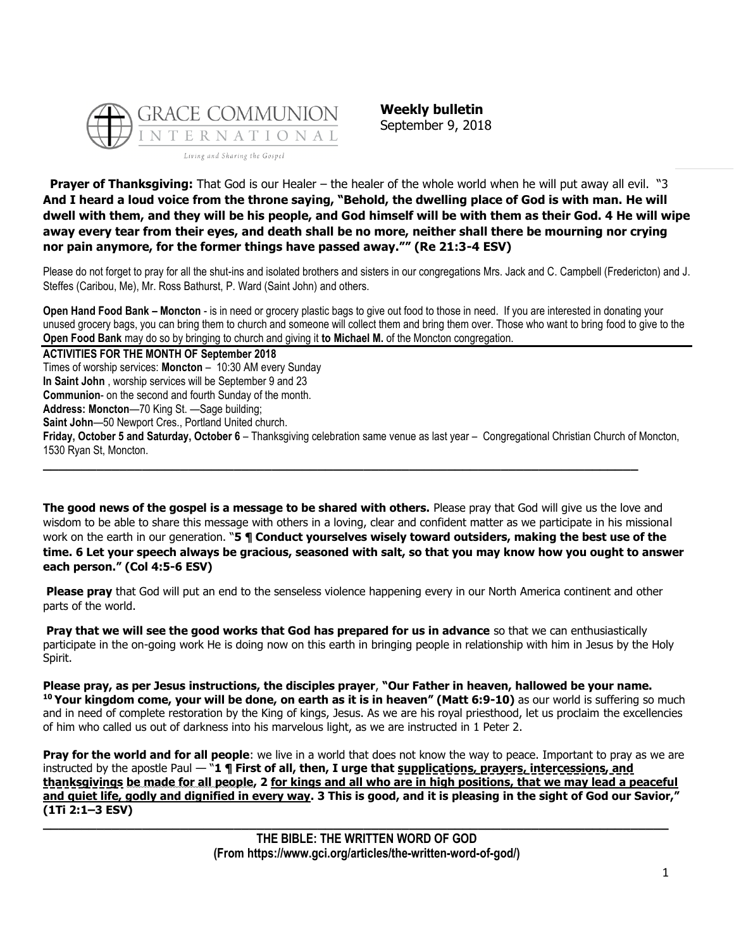

**Weekly bulletin** September 9, 2018

**Prayer of Thanksgiving:** That God is our Healer – the healer of the whole world when he will put away all evil. "3 **And I heard a loud voice from the throne saying, "Behold, the dwelling place of God is with man. He will dwell with them, and they will be his people, and God himself will be with them as their God. 4 He will wipe away every tear from their eyes, and death shall be no more, neither shall there be mourning nor crying nor pain anymore, for the former things have passed away."" (Re 21:3-4 ESV)**

Please do not forget to pray for all the shut-ins and isolated brothers and sisters in our congregations Mrs. Jack and C. Campbell (Fredericton) and J. Steffes (Caribou, Me), Mr. Ross Bathurst, P. Ward (Saint John) and others.

**Open Hand Food Bank – Moncton** - is in need or grocery plastic bags to give out food to those in need. If you are interested in donating your unused grocery bags, you can bring them to church and someone will collect them and bring them over. Those who want to bring food to give to the **Open Food Bank** may do so by bringing to church and giving it **to Michael M.** of the Moncton congregation.

**ACTIVITIES FOR THE MONTH OF September 2018** Times of worship services: **Moncton** – 10:30 AM every Sunday **In Saint John** , worship services will be September 9 and 23 **Communion**- on the second and fourth Sunday of the month. **Address: Moncton**—70 King St. —Sage building; **Saint John**—50 Newport Cres., Portland United church. **Friday, October 5 and Saturday, October 6** – Thanksgiving celebration same venue as last year – Congregational Christian Church of Moncton, 1530 Ryan St, Moncton. **\_\_\_\_\_\_\_\_\_\_\_\_\_\_\_\_\_\_\_\_\_\_\_\_\_\_\_\_\_\_\_\_\_\_\_\_\_\_\_\_\_\_\_\_\_\_\_\_\_\_\_\_\_\_\_\_\_\_\_\_\_\_\_\_\_\_\_\_\_\_\_\_\_\_\_\_\_\_**

**The good news of the gospel is a message to be shared with others.** Please pray that God will give us the love and wisdom to be able to share this message with others in a loving, clear and confident matter as we participate in his missional work on the earth in our generation. "**5 ¶ Conduct yourselves wisely toward outsiders, making the best use of the time. 6 Let your speech always be gracious, seasoned with salt, so that you may know how you ought to answer each person." (Col 4:5-6 ESV)**

**Please pray** that God will put an end to the senseless violence happening every in our North America continent and other parts of the world.

**Pray that we will see the good works that God has prepared for us in advance** so that we can enthusiastically participate in the on-going work He is doing now on this earth in bringing people in relationship with him in Jesus by the Holy Spirit.

**Please pray, as per Jesus instructions, the disciples prayer**, **"Our Father in heaven, hallowed be your name. <sup>10</sup> Your kingdom come, your will be done, on earth as it is in heaven" (Matt 6:9-10)** as our world is suffering so much and in need of complete restoration by the King of kings, Jesus. As we are his royal priesthood, let us proclaim the excellencies of him who called us out of darkness into his marvelous light, as we are instructed in 1 Peter 2.

**Pray for the world and for all people**: we live in a world that does not know the way to peace. Important to pray as we are instructed by the apostle Paul — "**1 ¶ First of all, then, I urge that supplications, prayers, intercessions, and thanksgivings be made for all people, 2 for kings and all who are in high positions, that we may lead a peaceful**  and quiet life, godly and dignified in every way. 3 This is good, and it is pleasing in the sight of God our Savior," **(1Ti 2:1–3 ESV) \_\_\_\_\_\_\_\_\_\_\_\_\_\_\_\_\_\_\_\_\_\_\_\_\_\_\_\_\_\_\_\_\_\_\_\_\_\_\_\_\_\_\_\_\_\_\_\_\_\_\_\_\_\_\_\_\_\_\_\_\_\_\_\_\_\_\_\_\_\_\_\_\_\_\_\_\_\_\_\_\_\_**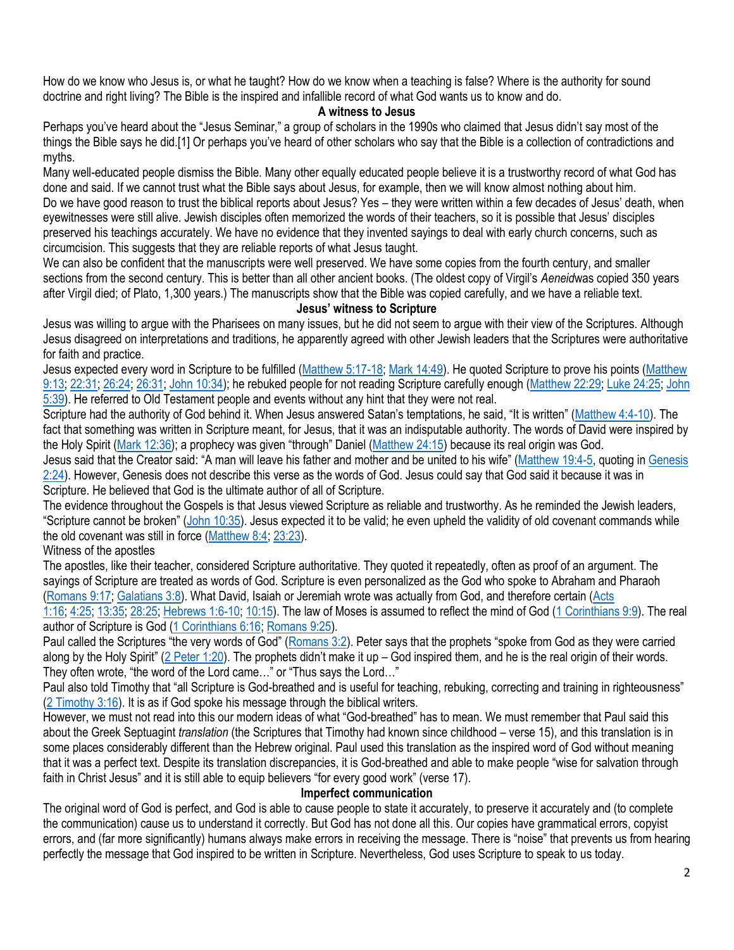How do we know who Jesus is, or what he taught? How do we know when a teaching is false? Where is the authority for sound doctrine and right living? The Bible is the inspired and infallible record of what God wants us to know and do.

## **A witness to Jesus**

Perhaps you've heard about the "Jesus Seminar," a group of scholars in the 1990s who claimed that Jesus didn't say most of the things the Bible says he did.[1] Or perhaps you've heard of other scholars who say that the Bible is a collection of contradictions and myths.

Many well-educated people dismiss the Bible. Many other equally educated people believe it is a trustworthy record of what God has done and said. If we cannot trust what the Bible says about Jesus, for example, then we will know almost nothing about him. Do we have good reason to trust the biblical reports about Jesus? Yes – they were written within a few decades of Jesus' death, when eyewitnesses were still alive. Jewish disciples often memorized the words of their teachers, so it is possible that Jesus' disciples preserved his teachings accurately. We have no evidence that they invented sayings to deal with early church concerns, such as circumcision. This suggests that they are reliable reports of what Jesus taught.

We can also be confident that the manuscripts were well preserved. We have some copies from the fourth century, and smaller sections from the second century. This is better than all other ancient books. (The oldest copy of Virgil's *Aeneid*was copied 350 years after Virgil died; of Plato, 1,300 years.) The manuscripts show that the Bible was copied carefully, and we have a reliable text.

## **Jesus' witness to Scripture**

Jesus was willing to argue with the Pharisees on many issues, but he did not seem to argue with their view of the Scriptures. Although Jesus disagreed on interpretations and traditions, he apparently agreed with other Jewish leaders that the Scriptures were authoritative for faith and practice.

Jesus expected every word in Scripture to be fulfilled [\(Matthew 5:17-18;](http://biblia.com/bible/niv/Matt%205.17-18) [Mark 14:49\)](http://biblia.com/bible/niv/Mark%2014.49). He quoted Scripture to prove his points (Matthew [9:13;](http://biblia.com/bible/niv/Matt%209.13) [22:31;](http://biblia.com/bible/niv/Matthew%2022.31) [26:24;](http://biblia.com/bible/niv/Matthew%2026.24) [26:31;](http://biblia.com/bible/niv/Matthew%2026.31) [John 10:34\)](http://biblia.com/bible/niv/John%2010.34); he rebuked people for not reading Scripture carefully enough [\(Matthew 22:29;](http://biblia.com/bible/niv/Matt%2022.29) [Luke 24:25;](http://biblia.com/bible/niv/Luke%2024.25) [John](http://biblia.com/bible/niv/John%205.39)  [5:39\)](http://biblia.com/bible/niv/John%205.39). He referred to Old Testament people and events without any hint that they were not real.

Scripture had the authority of God behind it. When Jesus answered Satan's temptations, he said, "It is written" ([Matthew 4:4-10\)](http://biblia.com/bible/niv/Matt%204.4-10). The fact that something was written in Scripture meant, for Jesus, that it was an indisputable authority. The words of David were inspired by the Holy Spirit [\(Mark 12:36](http://biblia.com/bible/niv/Mark%2012.36)); a prophecy was given "through" Daniel ([Matthew 24:15\)](http://biblia.com/bible/niv/Matt%2024.15) because its real origin was God.

Jesus said that the Creator said: "A man will leave his father and mother and be united to his wife" ([Matthew 19:4-5,](http://biblia.com/bible/niv/Matt%2019.4-5) quoting in Genesis  $2:24$ ). However, Genesis does not describe this verse as the words of God. Jesus could say that God said it because it was in Scripture. He believed that God is the ultimate author of all of Scripture.

The evidence throughout the Gospels is that Jesus viewed Scripture as reliable and trustworthy. As he reminded the Jewish leaders, "Scripture cannot be broken" ([John 10:35\)](http://biblia.com/bible/niv/John%2010.35). Jesus expected it to be valid; he even upheld the validity of old covenant commands while the old covenant was still in force [\(Matthew 8:4;](http://biblia.com/bible/niv/Matt%208.4) [23:23\)](http://biblia.com/bible/niv/Matthew%2023.23).

Witness of the apostles

The apostles, like their teacher, considered Scripture authoritative. They quoted it repeatedly, often as proof of an argument. The sayings of Scripture are treated as words of God. Scripture is even personalized as the God who spoke to Abraham and Pharaoh [\(Romans 9:17;](http://biblia.com/bible/niv/Rom%209.17) [Galatians 3:8\)](http://biblia.com/bible/niv/Gal%203.8). What David, Isaiah or Jeremiah wrote was actually from God, and therefore certain [\(Acts](http://biblia.com/bible/niv/Acts%201.16) 

[1:16;](http://biblia.com/bible/niv/Acts%201.16) [4:25;](http://biblia.com/bible/niv/Acts%204.25) [13:35;](http://biblia.com/bible/niv/Acts%2013.35) [28:25;](http://biblia.com/bible/niv/Acts%2028.25) [Hebrews 1:6-10;](http://biblia.com/bible/niv/Heb%201.6-10) [10:15\)](http://biblia.com/bible/niv/Hebrews%2010.15). The law of Moses is assumed to reflect the mind of God [\(1 Corinthians 9:9\)](http://biblia.com/bible/niv/1%20Cor%209.9). The real author of Scripture is God [\(1 Corinthians 6:16;](http://biblia.com/bible/niv/1%20Cor%206.16) [Romans 9:25\)](http://biblia.com/bible/niv/Rom%209.25).

Paul called the Scriptures "the very words of God" ([Romans 3:2](http://biblia.com/bible/niv/Rom%203.2)). Peter says that the prophets "spoke from God as they were carried along by the Holy Spirit" ([2 Peter 1:20](http://biblia.com/bible/niv/2%20Pet%201.20)). The prophets didn't make it up – God inspired them, and he is the real origin of their words. They often wrote, "the word of the Lord came…" or "Thus says the Lord…"

Paul also told Timothy that "all Scripture is God-breathed and is useful for teaching, rebuking, correcting and training in righteousness" [\(2 Timothy 3:16\)](http://biblia.com/bible/niv/2%20Tim%203.16). It is as if God spoke his message through the biblical writers.

However, we must not read into this our modern ideas of what "God-breathed" has to mean. We must remember that Paul said this about the Greek Septuagint *translation* (the Scriptures that Timothy had known since childhood – verse 15), and this translation is in some places considerably different than the Hebrew original. Paul used this translation as the inspired word of God without meaning that it was a perfect text. Despite its translation discrepancies, it is God-breathed and able to make people "wise for salvation through faith in Christ Jesus" and it is still able to equip believers "for every good work" (verse 17).

## **Imperfect communication**

The original word of God is perfect, and God is able to cause people to state it accurately, to preserve it accurately and (to complete the communication) cause us to understand it correctly. But God has not done all this. Our copies have grammatical errors, copyist errors, and (far more significantly) humans always make errors in receiving the message. There is "noise" that prevents us from hearing perfectly the message that God inspired to be written in Scripture. Nevertheless, God uses Scripture to speak to us today.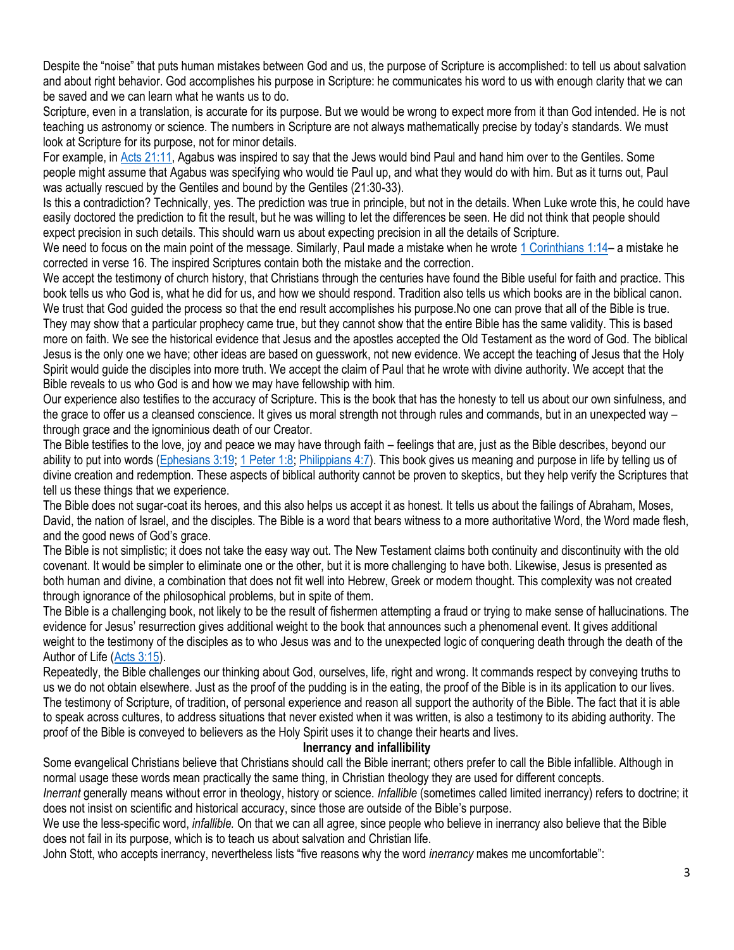Despite the "noise" that puts human mistakes between God and us, the purpose of Scripture is accomplished: to tell us about salvation and about right behavior. God accomplishes his purpose in Scripture: he communicates his word to us with enough clarity that we can be saved and we can learn what he wants us to do.

Scripture, even in a translation, is accurate for its purpose. But we would be wrong to expect more from it than God intended. He is not teaching us astronomy or science. The numbers in Scripture are not always mathematically precise by today's standards. We must look at Scripture for its purpose, not for minor details.

For example, in [Acts 21:11,](http://biblia.com/bible/niv/Acts%2021.11) Agabus was inspired to say that the Jews would bind Paul and hand him over to the Gentiles. Some people might assume that Agabus was specifying who would tie Paul up, and what they would do with him. But as it turns out, Paul was actually rescued by the Gentiles and bound by the Gentiles (21:30-33).

Is this a contradiction? Technically, yes. The prediction was true in principle, but not in the details. When Luke wrote this, he could have easily doctored the prediction to fit the result, but he was willing to let the differences be seen. He did not think that people should expect precision in such details. This should warn us about expecting precision in all the details of Scripture.

We need to focus on the main point of the message. Similarly, Paul made a mistake when he wrote [1 Corinthians 1:14](http://biblia.com/bible/niv/1%20Cor%201.14)– a mistake he corrected in verse 16. The inspired Scriptures contain both the mistake and the correction.

We accept the testimony of church history, that Christians through the centuries have found the Bible useful for faith and practice. This book tells us who God is, what he did for us, and how we should respond. Tradition also tells us which books are in the biblical canon. We trust that God guided the process so that the end result accomplishes his purpose.No one can prove that all of the Bible is true.

They may show that a particular prophecy came true, but they cannot show that the entire Bible has the same validity. This is based more on faith. We see the historical evidence that Jesus and the apostles accepted the Old Testament as the word of God. The biblical Jesus is the only one we have; other ideas are based on guesswork, not new evidence. We accept the teaching of Jesus that the Holy Spirit would guide the disciples into more truth. We accept the claim of Paul that he wrote with divine authority. We accept that the Bible reveals to us who God is and how we may have fellowship with him.

Our experience also testifies to the accuracy of Scripture. This is the book that has the honesty to tell us about our own sinfulness, and the grace to offer us a cleansed conscience. It gives us moral strength not through rules and commands, but in an unexpected way – through grace and the ignominious death of our Creator.

The Bible testifies to the love, joy and peace we may have through faith – feelings that are, just as the Bible describes, beyond our ability to put into words [\(Ephesians 3:19;](https://biblia.com/bible/niv/Eph%203.19) [1 Peter 1:8;](https://biblia.com/bible/niv/1%20Pet%201.8) [Philippians 4:7\)](https://biblia.com/bible/niv/Phil%204.7). This book gives us meaning and purpose in life by telling us of divine creation and redemption. These aspects of biblical authority cannot be proven to skeptics, but they help verify the Scriptures that tell us these things that we experience.

The Bible does not sugar-coat its heroes, and this also helps us accept it as honest. It tells us about the failings of Abraham, Moses, David, the nation of Israel, and the disciples. The Bible is a word that bears witness to a more authoritative Word, the Word made flesh, and the good news of God's grace.

The Bible is not simplistic; it does not take the easy way out. The New Testament claims both continuity and discontinuity with the old covenant. It would be simpler to eliminate one or the other, but it is more challenging to have both. Likewise, Jesus is presented as both human and divine, a combination that does not fit well into Hebrew, Greek or modern thought. This complexity was not created through ignorance of the philosophical problems, but in spite of them.

The Bible is a challenging book, not likely to be the result of fishermen attempting a fraud or trying to make sense of hallucinations. The evidence for Jesus' resurrection gives additional weight to the book that announces such a phenomenal event. It gives additional weight to the testimony of the disciples as to who Jesus was and to the unexpected logic of conquering death through the death of the Author of Life [\(Acts 3:15\)](https://biblia.com/bible/niv/Acts%203.15).

Repeatedly, the Bible challenges our thinking about God, ourselves, life, right and wrong. It commands respect by conveying truths to us we do not obtain elsewhere. Just as the proof of the pudding is in the eating, the proof of the Bible is in its application to our lives. The testimony of Scripture, of tradition, of personal experience and reason all support the authority of the Bible. The fact that it is able to speak across cultures, to address situations that never existed when it was written, is also a testimony to its abiding authority. The proof of the Bible is conveyed to believers as the Holy Spirit uses it to change their hearts and lives.

## **Inerrancy and infallibility**

Some evangelical Christians believe that Christians should call the Bible inerrant; others prefer to call the Bible infallible. Although in normal usage these words mean practically the same thing, in Christian theology they are used for different concepts.

*Inerrant* generally means without error in theology, history or science. *Infallible* (sometimes called limited inerrancy) refers to doctrine; it does not insist on scientific and historical accuracy, since those are outside of the Bible's purpose.

We use the less-specific word, *infallible.* On that we can all agree, since people who believe in inerrancy also believe that the Bible does not fail in its purpose, which is to teach us about salvation and Christian life.

John Stott, who accepts inerrancy, nevertheless lists "five reasons why the word *inerrancy* makes me uncomfortable":